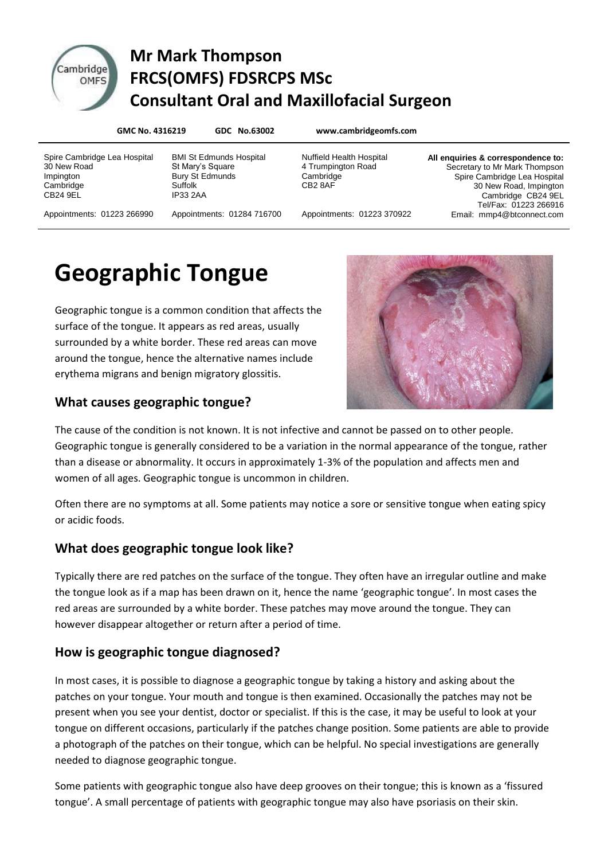

### Cambridge Mr Mark Thompson **DITIGGE FRCS(OMFS) FDSRCPS MSc Consultant Oral and Maxillofacial Surgeon**

**GMC No. 4316219 GDC No.63002 www.cambridgeomfs.com**

Spire Cambridge Lea Hospital 30 New Road Impington **Cambridge** CB24 9EL

BMI St Edmunds Hospital St Mary's Square Bury St Edmunds Suffolk IP33 2AA

Nuffield Health Hospital 4 Trumpington Road **Cambridge** CB2 8AF

**All enquiries & correspondence to:** Secretary to Mr Mark Thompson Spire Cambridge Lea Hospital 30 New Road, Impington Cambridge CB24 9EL Tel/Fax: 01223 266916 Email: mmp4@btconnect.com

Appointments: 01223 266990

Appointments: 01284 716700

Appointments: 01223 370922

## **Geographic Tongue**

Geographic tongue is a common condition that affects the surface of the tongue. It appears as red areas, usually surrounded by a white border. These red areas can move around the tongue, hence the alternative names include erythema migrans and benign migratory glossitis.

# **What causes geographic tongue?**



The cause of the condition is not known. It is not infective and cannot be passed on to other people. Geographic tongue is generally considered to be a variation in the normal appearance of the tongue, rather than a disease or abnormality. It occurs in approximately 1-3% of the population and affects men and women of all ages. Geographic tongue is uncommon in children.

Often there are no symptoms at all. Some patients may notice a sore or sensitive tongue when eating spicy or acidic foods.

#### **What does geographic tongue look like?**

Typically there are red patches on the surface of the tongue. They often have an irregular outline and make the tongue look as if a map has been drawn on it, hence the name 'geographic tongue'. In most cases the red areas are surrounded by a white border. These patches may move around the tongue. They can however disappear altogether or return after a period of time.

#### **How is geographic tongue diagnosed?**

In most cases, it is possible to diagnose a geographic tongue by taking a history and asking about the patches on your tongue. Your mouth and tongue is then examined. Occasionally the patches may not be present when you see your dentist, doctor or specialist. If this is the case, it may be useful to look at your tongue on different occasions, particularly if the patches change position. Some patients are able to provide a photograph of the patches on their tongue, which can be helpful. No special investigations are generally needed to diagnose geographic tongue.

Some patients with geographic tongue also have deep grooves on their tongue; this is known as a 'fissured tongue'. A small percentage of patients with geographic tongue may also have psoriasis on their skin.